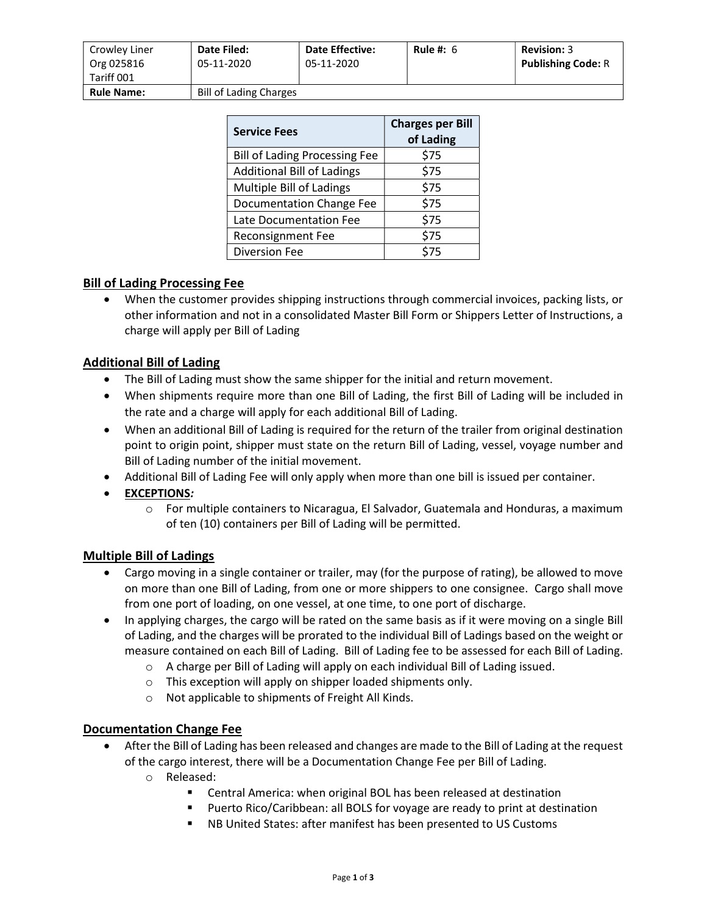| Crowley Liner<br>Org 025816 | Date Filed:<br>05-11-2020     | <b>Date Effective:</b><br>05-11-2020 | Rule #: $6$ | <b>Revision: 3</b><br><b>Publishing Code: R</b> |
|-----------------------------|-------------------------------|--------------------------------------|-------------|-------------------------------------------------|
| Tariff 001                  |                               |                                      |             |                                                 |
| <b>Rule Name:</b>           | <b>Bill of Lading Charges</b> |                                      |             |                                                 |

| <b>Service Fees</b>                  | <b>Charges per Bill</b><br>of Lading |  |
|--------------------------------------|--------------------------------------|--|
| <b>Bill of Lading Processing Fee</b> | \$75                                 |  |
| <b>Additional Bill of Ladings</b>    | \$75                                 |  |
| Multiple Bill of Ladings             | \$75                                 |  |
| Documentation Change Fee             | \$75                                 |  |
| Late Documentation Fee               | \$75                                 |  |
| <b>Reconsignment Fee</b>             | \$75                                 |  |
| <b>Diversion Fee</b>                 | \$75                                 |  |

## Bill of Lading Processing Fee

 When the customer provides shipping instructions through commercial invoices, packing lists, or other information and not in a consolidated Master Bill Form or Shippers Letter of Instructions, a charge will apply per Bill of Lading

## Additional Bill of Lading

- The Bill of Lading must show the same shipper for the initial and return movement.
- When shipments require more than one Bill of Lading, the first Bill of Lading will be included in the rate and a charge will apply for each additional Bill of Lading.
- When an additional Bill of Lading is required for the return of the trailer from original destination point to origin point, shipper must state on the return Bill of Lading, vessel, voyage number and Bill of Lading number of the initial movement.
- Additional Bill of Lading Fee will only apply when more than one bill is issued per container.
- EXCEPTIONS:
	- $\circ$  For multiple containers to Nicaragua, El Salvador, Guatemala and Honduras, a maximum of ten (10) containers per Bill of Lading will be permitted.

## Multiple Bill of Ladings

- Cargo moving in a single container or trailer, may (for the purpose of rating), be allowed to move on more than one Bill of Lading, from one or more shippers to one consignee. Cargo shall move from one port of loading, on one vessel, at one time, to one port of discharge.
- In applying charges, the cargo will be rated on the same basis as if it were moving on a single Bill of Lading, and the charges will be prorated to the individual Bill of Ladings based on the weight or measure contained on each Bill of Lading. Bill of Lading fee to be assessed for each Bill of Lading.
	- o A charge per Bill of Lading will apply on each individual Bill of Lading issued.
	- o This exception will apply on shipper loaded shipments only.
	- o Not applicable to shipments of Freight All Kinds.

## Documentation Change Fee

- After the Bill of Lading has been released and changes are made to the Bill of Lading at the request of the cargo interest, there will be a Documentation Change Fee per Bill of Lading.
	- o Released:
		- Central America: when original BOL has been released at destination
		- Puerto Rico/Caribbean: all BOLS for voyage are ready to print at destination
		- NB United States: after manifest has been presented to US Customs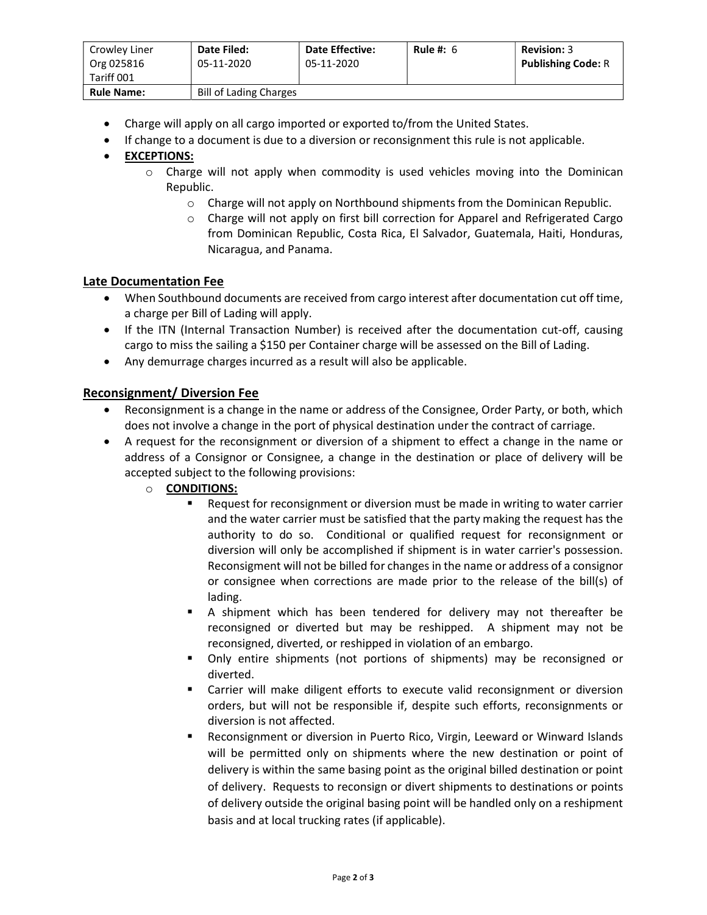| Crowley Liner<br>Org 025816<br>Tariff 001 | Date Filed:<br>05-11-2020     | <b>Date Effective:</b><br>05-11-2020 | Rule #: $6$ | <b>Revision: 3</b><br><b>Publishing Code: R</b> |
|-------------------------------------------|-------------------------------|--------------------------------------|-------------|-------------------------------------------------|
| <b>Rule Name:</b>                         | <b>Bill of Lading Charges</b> |                                      |             |                                                 |

- Charge will apply on all cargo imported or exported to/from the United States.
- If change to a document is due to a diversion or reconsignment this rule is not applicable.

# EXCEPTIONS:

- o Charge will not apply when commodity is used vehicles moving into the Dominican Republic.
	- o Charge will not apply on Northbound shipments from the Dominican Republic.
	- o Charge will not apply on first bill correction for Apparel and Refrigerated Cargo from Dominican Republic, Costa Rica, El Salvador, Guatemala, Haiti, Honduras, Nicaragua, and Panama.

## Late Documentation Fee

- When Southbound documents are received from cargo interest after documentation cut off time, a charge per Bill of Lading will apply.
- If the ITN (Internal Transaction Number) is received after the documentation cut-off, causing cargo to miss the sailing a \$150 per Container charge will be assessed on the Bill of Lading.
- Any demurrage charges incurred as a result will also be applicable.

## Reconsignment/ Diversion Fee

- Reconsignment is a change in the name or address of the Consignee, Order Party, or both, which does not involve a change in the port of physical destination under the contract of carriage.
- A request for the reconsignment or diversion of a shipment to effect a change in the name or address of a Consignor or Consignee, a change in the destination or place of delivery will be accepted subject to the following provisions:
	- o CONDITIONS:
		- Request for reconsignment or diversion must be made in writing to water carrier and the water carrier must be satisfied that the party making the request has the authority to do so. Conditional or qualified request for reconsignment or diversion will only be accomplished if shipment is in water carrier's possession. Reconsigment will not be billed for changes in the name or address of a consignor or consignee when corrections are made prior to the release of the bill(s) of lading.
		- A shipment which has been tendered for delivery may not thereafter be reconsigned or diverted but may be reshipped. A shipment may not be reconsigned, diverted, or reshipped in violation of an embargo.
		- Only entire shipments (not portions of shipments) may be reconsigned or diverted.
		- **EXT** Carrier will make diligent efforts to execute valid reconsignment or diversion orders, but will not be responsible if, despite such efforts, reconsignments or diversion is not affected.
		- Reconsignment or diversion in Puerto Rico, Virgin, Leeward or Winward Islands will be permitted only on shipments where the new destination or point of delivery is within the same basing point as the original billed destination or point of delivery. Requests to reconsign or divert shipments to destinations or points of delivery outside the original basing point will be handled only on a reshipment basis and at local trucking rates (if applicable).